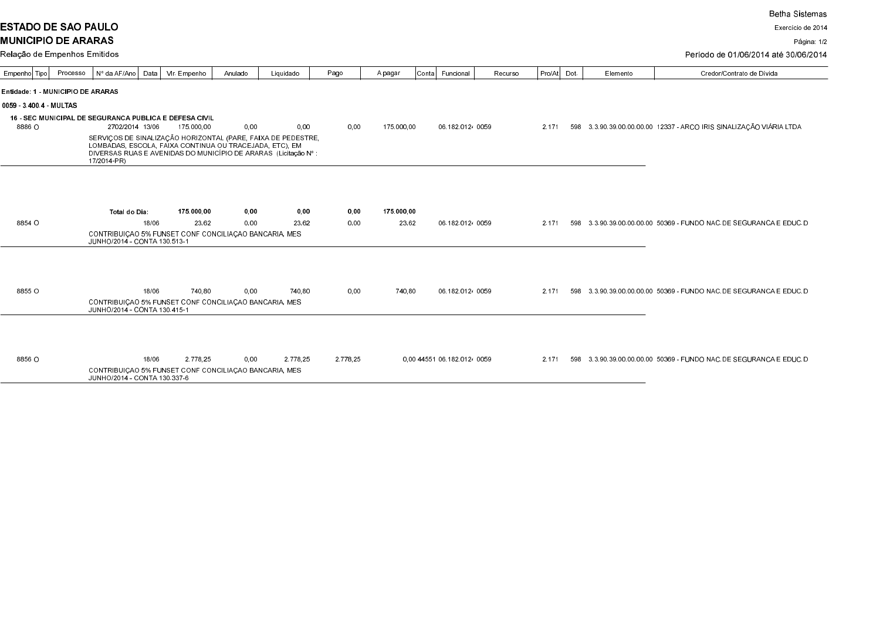**ESTADO DE SAO PAULO MUNICIPIO DE ARARAS** 

Relação de Empenhos Emitidos

Exercício de 2014

Página: 1/2

## Período de 01/06/2014 até 30/06/2014

| Empenho   Tipo                    | Processo | Nº da AF/Ano Data                                                                                                          | Vir. Empenho | Anulado | Liquidado | Pago     | A pagar    | Conta Funcional              |                  | Recurso | Pro/At | Dot. | Elemento | Credor/Contrato de Dívida                                           |  |
|-----------------------------------|----------|----------------------------------------------------------------------------------------------------------------------------|--------------|---------|-----------|----------|------------|------------------------------|------------------|---------|--------|------|----------|---------------------------------------------------------------------|--|
| Entidade: 1 - MUNICIPIO DE ARARAS |          |                                                                                                                            |              |         |           |          |            |                              |                  |         |        |      |          |                                                                     |  |
| 0059 3400.4 MULTAS                |          |                                                                                                                            |              |         |           |          |            |                              |                  |         |        |      |          |                                                                     |  |
|                                   |          | <b>16 - SEC MUNICIPAL DE SEGURANCA PUBLICA E DEFESA CIVIL</b>                                                              |              |         |           |          |            |                              |                  |         |        |      |          |                                                                     |  |
| 8886 O                            |          | 2702/2014 13/06                                                                                                            | 175 000 00   | 0,00    | 0.00      | 0,00     | 175.000.00 |                              | 06.182.0124 0059 |         | 2.171  |      |          | 598 3.3.90.39.00.00.00.00 12337 - ARCO IRIS SINALIZAÇÃO VIÁRIA LTDA |  |
|                                   |          | SERVIÇOS DE SINALIZAÇÃO HORIZONTAL (PARE, FAIXA DE PEDESTRE,                                                               |              |         |           |          |            |                              |                  |         |        |      |          |                                                                     |  |
|                                   |          | LOMBADAS, ESCOLA, FAIXA CONTINUA OU TRACEJADA, ETC), EM<br>DIVERSAS RUAS E AVENIDAS DO MUNICÍPIO DE ARARAS (Licitação Nº : |              |         |           |          |            |                              |                  |         |        |      |          |                                                                     |  |
|                                   |          | 17/2014-PR)                                                                                                                |              |         |           |          |            |                              |                  |         |        |      |          |                                                                     |  |
|                                   |          |                                                                                                                            |              |         |           |          |            |                              |                  |         |        |      |          |                                                                     |  |
|                                   |          |                                                                                                                            |              |         |           |          |            |                              |                  |         |        |      |          |                                                                     |  |
|                                   |          | Total do Dia:                                                                                                              | 175.000,00   | 0,00    | 0,00      | 0,00     | 175 000,00 |                              |                  |         |        |      |          |                                                                     |  |
| 8854 O                            |          | 18/06                                                                                                                      | 23.62        | 0,00    | 23.62     | 0.00     | 23.62      |                              | 06.182.0124 0059 |         | 2.171  |      |          | 598 3.3.90.39.00.00.00.00 50369 - FUNDO NAC.DE SEGURANCA E EDUC.DI  |  |
|                                   |          | CONTRIBUIÇÃO 5% FUNSET CONF CONCILIAÇÃO BANCARIA, MES                                                                      |              |         |           |          |            |                              |                  |         |        |      |          |                                                                     |  |
| JUNHO/2014 - CONTA 130.513-1      |          |                                                                                                                            |              |         |           |          |            |                              |                  |         |        |      |          |                                                                     |  |
|                                   |          |                                                                                                                            |              |         |           |          |            |                              |                  |         |        |      |          |                                                                     |  |
|                                   |          |                                                                                                                            |              |         |           |          |            |                              |                  |         |        |      |          |                                                                     |  |
|                                   |          |                                                                                                                            |              |         |           |          |            |                              |                  |         |        |      |          |                                                                     |  |
| 8855 O                            |          | 18/06                                                                                                                      | 740.80       | 0,00    | 740.80    | 0,00     | 740,80     |                              | 06.182.0124 0059 |         | 2.171  |      |          | 598 3.3.90.39.00.00.00.00 50369 - FUNDO NAC DE SEGURANCA E EDUC DI  |  |
|                                   |          | CONTRIBUIÇÃO 5% FUNSET CONF CONCILIAÇÃO BANCARIA, MES<br>JUNHO/2014 - CONTA 130.415-1                                      |              |         |           |          |            |                              |                  |         |        |      |          |                                                                     |  |
|                                   |          |                                                                                                                            |              |         |           |          |            |                              |                  |         |        |      |          |                                                                     |  |
|                                   |          |                                                                                                                            |              |         |           |          |            |                              |                  |         |        |      |          |                                                                     |  |
|                                   |          |                                                                                                                            |              |         |           |          |            |                              |                  |         |        |      |          |                                                                     |  |
| 8856 O                            |          | 18/06                                                                                                                      | 2.778.25     | 0,00    | 2.778.25  | 2.778.25 |            | 0.00 44 551 06 182 0124 0059 |                  |         | 2.171  |      |          | 598 3.3.90.39.00.00.00.00 50369 - FUNDO NAC DE SEGURANCA E EDUC DI  |  |
|                                   |          | CONTRIBUIÇÃO 5% FUNSET CONF CONCILIAÇÃO BANCARIA, MES<br>JUNHO/2014 - CONTA 130.337-6                                      |              |         |           |          |            |                              |                  |         |        |      |          |                                                                     |  |